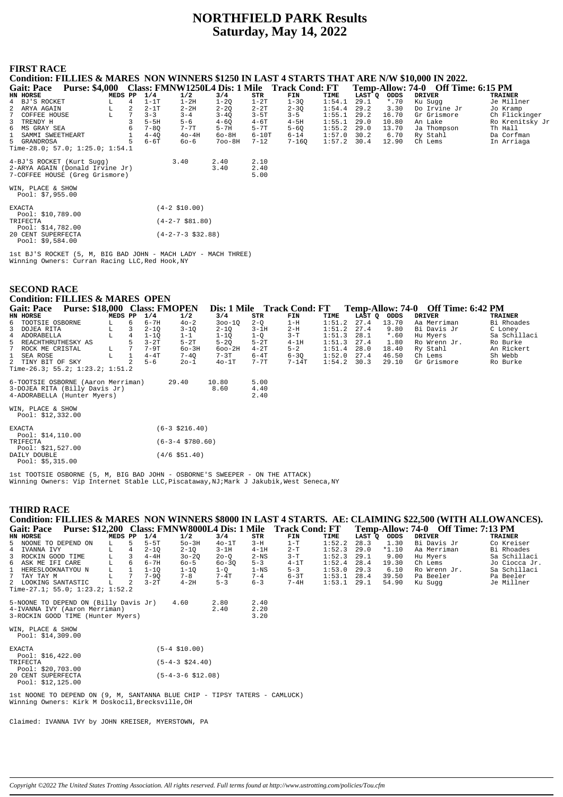# **NORTHFIELD PARK Results Saturday, May 14, 2022**

### **FIRST RACE**

| Condition: FILLIES & MARES NON WINNERS \$1250 IN LAST 4 STARTS THAT ARE N/W \$10,000 IN 2022. |         |   |                   |                     |            |          |                                              |        |        |         |                                    |                 |
|-----------------------------------------------------------------------------------------------|---------|---|-------------------|---------------------|------------|----------|----------------------------------------------|--------|--------|---------|------------------------------------|-----------------|
| <b>Purse: \$4,000</b><br><b>Gait: Pace</b>                                                    |         |   |                   |                     |            |          | Class: FMNW1250L4 Dis: 1 Mile Track Cond: FT |        |        |         | Temp-Allow: 74-0 Off Time: 6:15 PM |                 |
| HN HORSE                                                                                      | MEDS PP |   | 1/4               | 1/2                 | 3/4        | STR      | FIN                                          | TIME   | LAST Q | ODDS    | <b>DRIVER</b>                      | <b>TRAINER</b>  |
| 4 BJ'S ROCKET                                                                                 |         | 4 | $1-1T$            | $1-2H$              | $1 - 20$   | $1-2T$   | $1 - 3Q$                                     | 1:54.1 | 29.1   | $*$ .70 | Ku Sugg                            | Je Millner      |
| 2 ARYA AGAIN                                                                                  | L       |   | $2-1T$            | $2 - 2H$            | $2 - 20$   | $2 - 2T$ | $2 - 30$                                     | 1:54.4 | 29.2   | 3.30    | Do Irvine Jr                       | Jo Kramp        |
| $7^{\circ}$<br>COFFEE HOUSE                                                                   | L       |   | $3 - 3$           | $3 - 4$             | $3 - 40$   | $3-5T$   | $3 - 5$                                      | 1:55.1 | 29.2   | 16.70   | Gr Grismore                        | Ch Flickinger   |
| 3 TRENDY H                                                                                    |         |   | $5-5H$            | $5 - 6$             | $4 - 6Q$   | $4-6T$   | $4-5H$                                       | 1:55.1 | 29.0   | 10.80   | An Lake                            | Ro Krenitsky Jr |
| 6 MS GRAY SEA                                                                                 |         |   | $7 - 8Q$          | $7 - 7T$            | $5-7H$     | $5-7T$   | $5 - 6Q$                                     | 1:55.2 | 29.0   | 13.70   | Ja Thompson                        | Th Hall         |
| SAMMI SWEETHEART                                                                              |         |   | $4 - 40$          | $40-4H$             | 60-8H      | $6-10T$  | $6 - 14$                                     | 1:57.0 | 30.2   | 6.70    | Ry Stahl                           | Da Corfman      |
| 5 GRANDROSA                                                                                   |         |   | $6 - 6T$          | $60 - 6$            | $700 - 8H$ | $7 - 12$ | $7 - 16Q$                                    | 1:57.2 | 30.4   | 12.90   | Ch Lems                            | In Arriaga      |
| Time-28.0; 57.0; 1:25.0; 1:54.1                                                               |         |   |                   |                     |            |          |                                              |        |        |         |                                    |                 |
| 4-BJ'S ROCKET (Kurt Sugg)                                                                     |         |   |                   | 3.40                | 2.40       | 2.10     |                                              |        |        |         |                                    |                 |
| 2-ARYA AGAIN (Donald Irvine Jr)                                                               |         |   |                   |                     | 3.40       | 2.40     |                                              |        |        |         |                                    |                 |
| 7-COFFEE HOUSE (Greq Grismore)                                                                |         |   |                   |                     |            | 5.00     |                                              |        |        |         |                                    |                 |
|                                                                                               |         |   |                   |                     |            |          |                                              |        |        |         |                                    |                 |
| WIN, PLACE & SHOW                                                                             |         |   |                   |                     |            |          |                                              |        |        |         |                                    |                 |
| Pool: $$7,955.00$                                                                             |         |   |                   |                     |            |          |                                              |        |        |         |                                    |                 |
| <b>EXACTA</b>                                                                                 |         |   | $(4-2 \; $10.00)$ |                     |            |          |                                              |        |        |         |                                    |                 |
| Pool: \$10,789.00                                                                             |         |   |                   |                     |            |          |                                              |        |        |         |                                    |                 |
| TRIFECTA                                                                                      |         |   |                   | $(4-2-7$ \$81.80)   |            |          |                                              |        |        |         |                                    |                 |
| Pool: $$14,782.00$                                                                            |         |   |                   |                     |            |          |                                              |        |        |         |                                    |                 |
| 20 CENT SUPERFECTA                                                                            |         |   |                   | $(4-2-7-3$ \$32.88) |            |          |                                              |        |        |         |                                    |                 |
| Pool: \$9,584.00                                                                              |         |   |                   |                     |            |          |                                              |        |        |         |                                    |                 |
|                                                                                               |         |   |                   |                     |            |          |                                              |        |        |         |                                    |                 |

1st BJ'S ROCKET (5, M, BIG BAD JOHN - MACH LADY - MACH THREE) Winning Owners: Curran Racing LLC, Red Hook, NY

| <b>SECOND RACE</b><br><b>Condition: FILLIES &amp; MARES OPEN</b> |         |   |          |                          |            |           |                            |        |        |         |  |                                    |                |
|------------------------------------------------------------------|---------|---|----------|--------------------------|------------|-----------|----------------------------|--------|--------|---------|--|------------------------------------|----------------|
| Purse: \$18,000 Class: FMOPEN<br><b>Gait: Pace</b>               |         |   |          |                          |            |           | Dis: 1 Mile Track Cond: FT |        |        |         |  | Temp-Allow: 74-0 Off Time: 6:42 PM |                |
| HN HORSE                                                         | MEDS PP |   | 1/4      | 1/2                      | 3/4        | STR       | FIN                        | TIME   | LAST Q | ODDS    |  | <b>DRIVER</b>                      | <b>TRAINER</b> |
| 6 TOOTSIE OSBORNE                                                | L       | 6 | $6 - 7H$ | $40 - 2$                 | $300 - 10$ | $2 - 0$   | $1-H$                      | 1:51.2 | 27.4   | 13.70   |  | Aa Merriman                        | Bi Rhoades     |
| 3<br>DOJEA RITA                                                  | L       | 3 | $2 - 10$ | $3 - 1Q$                 | $2 - 1Q$   | $3-1H$    | $2-H$                      | 1:51.2 | 27.4   | 9.80    |  | Bi Davis Jr                        | C Loney        |
| ADORABELLA<br>4                                                  |         |   | $1 - 1Q$ | $1 - 1$                  | $1-1Q$     | $1-Q$     | $3-T$                      | 1:51.3 | 28.1   | $*$ .60 |  | Hu Myers                           | Sa Schillaci   |
| REACHTHRUTHESKY AS<br>5                                          |         |   | $3-2T$   | $5-2T$                   | $5-2Q$     | $5-2T$    | $4-1H$                     | 1:51.3 | 27.4   | 1.80    |  | Ro Wrenn Jr.                       | Ro Burke       |
| ROCK ME CRISTAL                                                  | L       |   | $7-9T$   | $60-3H$                  | $600-2H$   | $4-2T$    | $5 - 2$                    | 1:51.4 | 28.0   | 18.40   |  | Ry Stahl                           | An Rickert     |
| SEA ROSE<br>$\mathbf{1}$                                         | T.      |   | $4-4T$   | $7 - 40$                 | $7 - 3T$   | $6 - 4T$  | $6 - 3Q$                   | 1:52.0 | 27.4   | 46.50   |  | Ch Lems                            | Sh Webb        |
| 2 TINY BIT OF SKY                                                |         |   | $5 - 6$  | $20 - 1$                 | $40-1T$    | $7 - 7$ T | $7-14T$                    | 1:54.2 | 30.3   | 29.10   |  | Gr Grismore                        | Ro Burke       |
| Time-26.3; 55.2; $1:23.2$ ; $1:51.2$                             |         |   |          |                          |            |           |                            |        |        |         |  |                                    |                |
| 6-TOOTSIE OSBORNE (Aaron Merriman)                               |         |   |          | 29.40                    | 10.80      | 5.00      |                            |        |        |         |  |                                    |                |
| 3-DOJEA RITA (Billy Davis Jr)                                    |         |   |          |                          | 8.60       | 4.40      |                            |        |        |         |  |                                    |                |
| 4-ADORABELLA (Hunter Myers)                                      |         |   |          |                          |            | 2.40      |                            |        |        |         |  |                                    |                |
| WIN, PLACE & SHOW<br>Pool: $$12,332.00$                          |         |   |          |                          |            |           |                            |        |        |         |  |                                    |                |
| <b>EXACTA</b><br>Pool: \$14,110.00                               |         |   |          | $(6-3 \ $216.40)$        |            |           |                            |        |        |         |  |                                    |                |
| TRIFECTA<br>Pool: $$21,527.00$                                   |         |   |          | $(6-3-4 \space $780.60)$ |            |           |                            |        |        |         |  |                                    |                |
| DAILY DOUBLE<br>Pool: $$5,315.00$                                |         |   |          | $(4/6$ \$51.40)          |            |           |                            |        |        |         |  |                                    |                |

1st TOOTSIE OSBORNE (5, M, BIG BAD JOHN - OSBORNE'S SWEEPER - ON THE ATTACK) Winning Owners: Vip Internet Stable LLC,Piscataway,NJ;Mark J Jakubik,West Seneca,NY

#### **THIRD RACE**

**Condition: FILLIES & MARES NON WINNERS \$8000 IN LAST 4 STARTS. AE: CLAIMING \$22,500 (WITH ALLOWANCES).** Gait: Pace Purse: \$12,200 Class: FMNW8000L4 Dis: 1 Mile Track Cond: FT Temp-Allow: 74-0 Off Time: 7:13 PM<br>HN HORSE DRIVER TRAINER PP 1/4 1/2 3/4 STR FIN TIME LAST Q ODDS DRIVER TRAINER

| HN HORSE                        | MEDS PP |          | $\pm$ /4 | 172       | 374       | STR     | FIN      | TIME          | LAST U | ັບມມຮ   | DRIVER       | TRAINER       |
|---------------------------------|---------|----------|----------|-----------|-----------|---------|----------|---------------|--------|---------|--------------|---------------|
| 5 NOONE TO DEPEND ON            |         |          | $5-5T$   | $50-3H$   | $40-1T$   | 3-H     | 1-т      | 1:52.2        | 28.3   | ⊥.30    | Bi Davis Jr  | Co Kreiser    |
| 4 IVANNA IVY                    |         |          | $2 - 10$ | $2 - 10$  | $3-1H$    | $4-1H$  | $2-T$    | 1:52.3        | 29.0   | $*1.10$ | Aa Merriman  | Bi Rhoades    |
| 3 ROCKIN GOOD TIME              |         |          | $4-4H$   | $30 - 20$ | $20 - 0$  | $2-NS$  | $3-T$    | 1:52.3        | 29.1   | 9.00    | Hu Mvers     | Sa Schillaci  |
| 6 ASK ME IFI CARE               |         | $\sigma$ | $6 - 7H$ | $60 - 5$  | $60 - 30$ | $5 - 3$ | $4-1T$   | $1:52.4$ 28.4 |        | 19.30   | Ch Lems      | Jo Ciocca Jr. |
| 1 HERESLOOKNATYOU N             |         |          | $1 - 10$ | $1 - 10$  | 1-0       | 1-NS    | $5 - 3$  | 1:53.0        | 29.3   | 6.10    | Ro Wrenn Jr. | Sa Schillaci  |
| 7 TAY TAY M                     |         |          | $7 - 90$ | $7 - 8$   | $7-4T$    | $7 - 4$ | $6-3T$   | 1:53.1        | 28.4   | 39.50   | Pa Beeler    | Pa Beeler     |
| 2 LOOKING SANTASTIC             |         |          | $3-2T$   | $4-2H$    | $5 - 3$   | $6 - 3$ | $7 - 4H$ | 1:53.1        | 29.1   | 54.90   | Ku Suqq      | Je Millner    |
| Time-27.1; 55.0; 1:23.2; 1:52.2 |         |          |          |           |           |         |          |               |        |         |              |               |

| 5-NOONE TO DEPEND ON (Billy Davis Jr) | 4.60 | 2.80 | 2.40 |
|---------------------------------------|------|------|------|
| 4-IVANNA IVY (Aaron Merriman)         |      | 2.40 | 2.20 |
| 3-ROCKIN GOOD TIME (Hunter Myers)     |      |      | 3.20 |

## WIN, PLACE & SHOW Pool: \$14,309.00

| <b>EXACTA</b> |                    | $(5-4 \text{ } $10.00)$     |
|---------------|--------------------|-----------------------------|
|               | Pool: $$16.422.00$ |                             |
| TRIFECTA      |                    | $(5-4-3 \text{ } $24.40)$   |
|               | Pool: $$20.703.00$ |                             |
|               | 20 CENT SUPERFECTA | $(5-4-3-6 \text{ } $12.08)$ |
|               | Pool: $$12.125.00$ |                             |

1st NOONE TO DEPEND ON (9, M, SANTANNA BLUE CHIP - TIPSY TATERS - CAMLUCK) Winning Owners: Kirk M Doskocil,Brecksville,OH

Claimed: IVANNA IVY by JOHN KREISER, MYERSTOWN, PA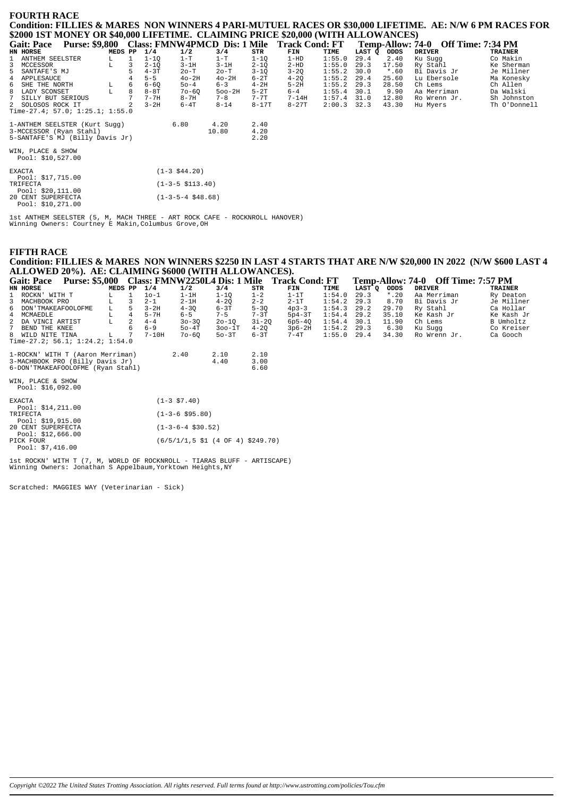### **FOURTH RACE** Condition: FILLIES & MARES NON WINNERS 4 PARI-MUTUEL RACES OR \$30,000 LIFETIME. AE: N/W 6 PM RACES FOR \$2000 IST MONEY OR \$40,000 LIFETIME. CLAIMING PRICE \$20,000 (WITH ALLOWANCES)

| <b>Gait: Pace</b>                       | <b>Purse: \$9,800</b> |                      |   |          |                             | Class: FMNW4PMCD Dis: 1 Mile |          | <b>Track Cond: FT</b> |        |        | <b>Temp-Allow: 74-0</b> | <b>Off Time: 7:34 PM</b> |              |
|-----------------------------------------|-----------------------|----------------------|---|----------|-----------------------------|------------------------------|----------|-----------------------|--------|--------|-------------------------|--------------------------|--------------|
| HN HORSE                                |                       | MEDS PP              |   | 1/4      | 1/2                         | 3/4                          | STR      | FIN                   | TIME   | LAST Q | ODDS                    | <b>DRIVER</b>            | TRAINER      |
| ANTHEM SEELSTER                         |                       | L.                   |   | $1 - 10$ | $1-T$                       | $1-T$                        | $1 - 10$ | $1-HD$                | 1:55.0 | 29.4   | 2.40                    | Ku Suqq                  | Co Makin     |
| 3<br>MCCESSOR                           |                       | г                    | 3 | $2 - 1Q$ | $3-1H$                      | $3-1H$                       | $2 - 1Q$ | $2-HD$                | 1:55.0 | 29.3   | 17.50                   | Ry Stahl                 | Ke Sherman   |
| SANTAFE'S MJ<br>5                       |                       |                      |   | $4 - 3T$ | $2o-T$                      | 20-T                         | $3 - 10$ | $3 - 20$              | 1:55.2 | 30.0   | $*$ .60                 | Bi Davis Jr              | Je Millner   |
| APPLESAUCE<br>4                         |                       |                      | 4 | $5 - 5$  | $40-2H$                     | $40-2H$                      | $6-2T$   | $4 - 20$              | 1:55.2 | 29.4   | 25.60                   | Lu Ebersole              | Ma Konesky   |
| 6<br>SHE THE NORTH                      |                       | L                    | 6 | $6 - 60$ | $50 - 4$                    | $6 - 3$                      | $4-2H$   | $5-2H$                | 1:55.2 | 29.3   | 28.50                   | Ch Lems                  | Ch Allen     |
| 8<br>LADY SCONSET                       |                       | L                    | 8 | $8-8T$   | $70 - 60$                   | $500 - 2H$                   | $5-2T$   | $6 - 4$               | 1:55.4 | 30.1   | 9.90                    | Aa Merriman              | Da Walski    |
| SILLY BUT SERIOUS                       |                       |                      |   | $7 - 7H$ | $8 - 7H$                    | $7 - 8$                      | $7 - 7T$ | $7-14H$               | 1:57.4 | 31.0   | 12.80                   | Ro Wrenn Jr.             | Sh Johnston  |
| 2<br>SOLOSOS ROCK IT                    |                       |                      |   | $3-2H$   | $6 - 4T$                    | $8 - 14$                     | $8-17T$  | $8-27T$               | 2:00.3 | 32.3   | 43.30                   | Hu Myers                 | Th O'Donnell |
| Time-27.4; 57.0; $1:25.1; 1:55.0$       |                       |                      |   |          |                             |                              |          |                       |        |        |                         |                          |              |
| 1-ANTHEM SEELSTER (Kurt Sugg)           |                       |                      |   |          | 6.80                        | 4.20                         | 2.40     |                       |        |        |                         |                          |              |
| 3-MCCESSOR (Ryan Stahl)                 |                       |                      |   |          |                             | 10.80                        | 4.20     |                       |        |        |                         |                          |              |
| 5-SANTAFE'S MJ (Billy Davis Jr)         |                       |                      |   |          |                             |                              | 2.20     |                       |        |        |                         |                          |              |
|                                         |                       |                      |   |          |                             |                              |          |                       |        |        |                         |                          |              |
| WIN, PLACE & SHOW<br>Pool: $$10,527.00$ |                       |                      |   |          |                             |                              |          |                       |        |        |                         |                          |              |
|                                         |                       |                      |   |          |                             |                              |          |                       |        |        |                         |                          |              |
| EXACTA                                  |                       |                      |   |          | $(1-3 \, $44.20)$           |                              |          |                       |        |        |                         |                          |              |
| Pool: \$17,715.00                       |                       |                      |   |          |                             |                              |          |                       |        |        |                         |                          |              |
| TRIFECTA                                |                       |                      |   |          | $(1-3-5 \; \text{S}113.40)$ |                              |          |                       |        |        |                         |                          |              |
| Pool: $$20,111.00$                      |                       |                      |   |          |                             |                              |          |                       |        |        |                         |                          |              |
| 20 CENT SUPERFECTA<br>Pool: \$10,271.00 |                       | $(1-3-5-4 \ $48.68)$ |   |          |                             |                              |          |                       |        |        |                         |                          |              |
|                                         |                       |                      |   |          |                             |                              |          |                       |        |        |                         |                          |              |

1st ANTHEM SEELSTER (5, M, MACH THREE - ART ROCK CAFE - ROCKNROLL HANOVER)<br>Winning Owners: Courtney E Makin, Columbus Grove, OH

#### **FIFTH RACE**

### Condition: FILLIES & MARES NON WINNERS \$2250 IN LAST 4 STARTS THAT ARE N/W \$20,000 IN 2022 (N/W \$600 LAST 4 ALLOWED 20%). AE: CLAIMING \$6000 (WITH ALLOWANCES).

| <b>Gait: Pace</b>                 | <b>Purse: \$5,000</b> |         |    |          |           |           |            | Class: FMNW2250L4 Dis: 1 Mile Track Cond: FT |               |        |         | Temp-Allow: 74-0 Off Time: 7:57 PM |                |
|-----------------------------------|-----------------------|---------|----|----------|-----------|-----------|------------|----------------------------------------------|---------------|--------|---------|------------------------------------|----------------|
| HN HORSE                          |                       | MEDS PP |    | 1/4      | 1/2       | 3/4       | <b>STR</b> | FIN                                          | TIME          | LAST O | ODDS    | DRIVER                             | <b>TRAINER</b> |
| 1 ROCKN' WITH T                   |                       |         |    | $10-1$   | $1-1H$    | $1 - 10$  | $1 - 2$    | $1-1T$                                       | 1:54.0        | 29.3   | $*$ .20 | Aa Merriman                        | Ry Deaton      |
| 3 MACHBOOK PRO                    |                       |         |    | $2 - 1$  | $2-1H$    | $4 - 20$  | $2 - 2$    | $2-1T$                                       | $1:54.2$ 29.3 |        | 8.70    | Bi Davis Jr                        | Je Millner     |
| 6 DON'TMAKEAFOOLOFME              |                       |         | .5 | $3 - 2H$ | $4 - 30$  | $6-3T$    | $5 - 30$   | $4p3-3$                                      | $1:54.3$ 29.2 |        | 29.70   | Rv Stahl                           | Ca Hollar      |
| 4 MCMAEDLE                        |                       |         | 4  | $5-7H$   | $6 - 5$   | $7 - 5$   | $7 - 3T$   | $5p4-3T$                                     | $1:54.4$ 29.2 |        | 35.10   | Ke Kash Jr                         | Ke Kash Jr     |
| 2 DA VINCI ARTIST                 |                       |         |    | $4 - 4$  | $30 - 30$ | $20 - 10$ | 3i-20      | 6p5-40                                       | $1:54.4$ 30.1 |        | 11.90   | Ch Lems                            | B Umholtz      |
| 7 BEND THE KNEE                   |                       |         | 6  | $6 - 9$  | $50-4T$   | $300-1T$  | $4 - 20$   | 3p6-2H                                       | $1:54.2$ 29.3 |        | 6.30    | Ku Suaa                            | Co Kreiser     |
| 8 WILD NITE TINA                  |                       |         |    | $7-10H$  | $70 - 60$ | $50-3T$   | $6 - 3T$   | 7-4T                                         | $1:55.0$ 29.4 |        | 34.30   | Ro Wrenn Jr.                       | Ca Gooch       |
| Time-27.2; $56.1; 1:24.2; 1:54.0$ |                       |         |    |          |           |           |            |                                              |               |        |         |                                    |                |

| 1-ROCKN' WITH T (Aaron Merriman)  | 2.40 | 2.10 | 2.10 |
|-----------------------------------|------|------|------|
| 3-MACHBOOK PRO (Billy Davis Jr)   |      | 4.40 | 3.00 |
| 6-DON'TMAKEAFOOLOFME (Ryan Stahl) |      |      | 6.60 |

| WIN, PLACE & SHOW<br>Pool: \$16,092.00               |                                                                                 |
|------------------------------------------------------|---------------------------------------------------------------------------------|
| <b>EXACTA</b><br>Pool: $$14,211.00$                  | $(1-3 \; $7.40)$                                                                |
| <b>TRIFECTA</b>                                      | $(1-3-6 \text{ } $95.80)$                                                       |
| Pool: $$19,915.00$<br>20 CENT SUPERFECTA             | $(1-3-6-4 \ $30.52)$                                                            |
| Pool: $$12,666.00$<br>PICK FOUR<br>Pool: $$7,416.00$ | $(6/5/1/1, 5 \text{ } 51 \text{ } (4 \text{ } 0F \text{ } 4) \text{ } $249.70)$ |

1st ROCKN' WITH T (7, M, WORLD OF ROCKNROLL - TIARAS BLUFF - ARTISCAPE) Winning Owners: Jonathan S Appelbaum, Yorktown Heights, NY

Scratched: MAGGIES WAY (Veterinarian - Sick)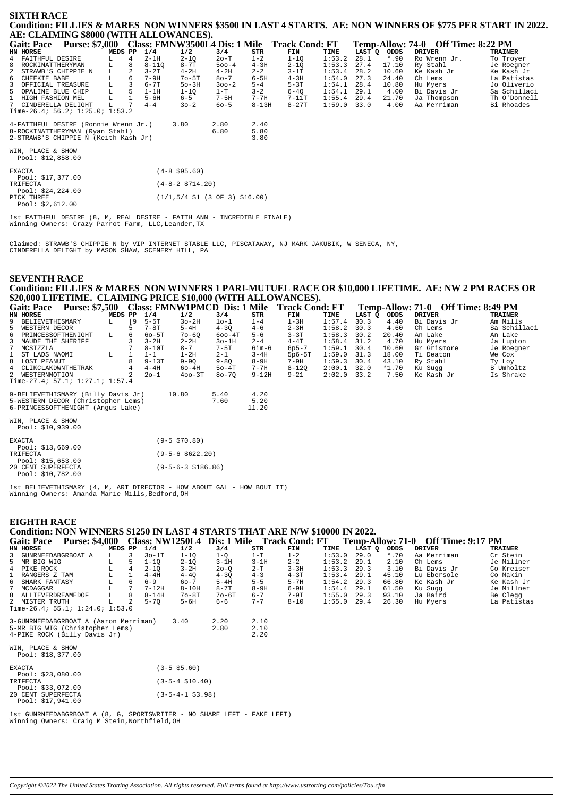#### **SIXTH RACE** Condition: FILLIES & MARES NON WINNERS \$3500 IN LAST 4 STARTS. AE: NON WINNERS OF \$775 PER START IN 2022. AE: CLAIMING \$8000 (WITH ALLOWANCES).

| <b>Gait: Pace</b><br><b>Purse: \$7,000</b> |                    |                                      |  |         |    |           | Class: FMNW3500L4 Dis: 1 Mile |           |           | <b>Track Cond: FT</b> | Temp-Allow: 74-0 Off Time: 8:22 PM |        |         |               |              |  |
|--------------------------------------------|--------------------|--------------------------------------|--|---------|----|-----------|-------------------------------|-----------|-----------|-----------------------|------------------------------------|--------|---------|---------------|--------------|--|
|                                            | HN HORSE           |                                      |  | MEDS PP |    | 1/4       | 1/2                           | 3/4       | STR       | FIN                   | TIME                               | LAST O | ODDS    | <b>DRIVER</b> | TRAINER      |  |
|                                            | 4 FAITHFUL DESIRE  |                                      |  |         |    | $2-1H$    | $2 - 10$                      | 20-T      | $1 - 2$   | $1 - 10$              | 1:53.2                             | 28.1   | $*$ .90 | Ro Wrenn Jr.  | To Troyer    |  |
|                                            | 8 ROCKINATTHERYMAN |                                      |  | T.      | 8  | $8 - 110$ | $8-7T$                        | $500 - 4$ | $4 - 3H$  | $2 - 10$              | 1:53.3                             | 27.4   | 17.10   | Ry Stahl      | Je Roegner   |  |
|                                            |                    | 2 STRAWB'S CHIPPIE N                 |  | L       |    | $3-2T$    | $4-2H$                        | $4-2H$    | $2 - 2$   | $3-1T$                | 1:53.4                             | 28.2   | 10.60   | Ke Kash Jr    | Ke Kash Jr   |  |
|                                            | 6 CHEEKIE BABE     |                                      |  |         | б. | $7-9H$    | $70 - 5T$                     | $80 - 7$  | $6-5H$    | $4 - 3H$              | 1:54.0                             | 27.3   | 24.40   | Ch Lems       | La Patistas  |  |
|                                            |                    | 3 OFFICIAL TREASURE                  |  | L       |    | $6 - 7T$  | $50-3H$                       | $300 - 2$ | $5 - 4$   | $5-3T$                | 1:54.1                             | 28.4   | 10.80   | Hu Myers      | Jo Oliverio  |  |
|                                            |                    | 5 OPALINE BLUE CHIP                  |  | T.      |    | $1-1H$    | $1 - 10$                      | $1-T$     | $3 - 2$   | $6 - 40$              | 1:54.1                             | 29.1   | 4.00    | Bi Davis Jr   | Sa Schillaci |  |
|                                            | 1 HIGH FASHION MEL |                                      |  |         |    | $5 - 6H$  | $6 - 5$                       | $7-5H$    | $7 - 7H$  | $7-11T$               | 1:55.4                             | 29.4   | 21.70   | Ja Thompson   | Th O'Donnell |  |
|                                            |                    | 7 CINDERELLA DELIGHT                 |  |         |    | $4 - 4$   | $30 - 2$                      | $60 - 5$  | $8 - 13H$ | $8 - 27T$             | 1:59.0                             | 33.0   | 4.00    | Aa Merriman   | Bi Rhoades   |  |
|                                            |                    | Time-26.4; 56.2; 1:25.0; 1:53.2      |  |         |    |           |                               |           |           |                       |                                    |        |         |               |              |  |
|                                            |                    | 4-FAITHFUL DESIRE (Ronnie Wrenn Jr.) |  |         |    |           | 3.80                          | 2.80      | 2.40      |                       |                                    |        |         |               |              |  |
| 8-ROCKINATTHERYMAN (Ryan Stahl)            |                    |                                      |  |         |    |           | 6.80                          | 5.80      |           |                       |                                    |        |         |               |              |  |
|                                            |                    | 2-STRAWB'S CHIPPIE N (Keith Kash Jr) |  |         |    |           |                               |           | 3.80      |                       |                                    |        |         |               |              |  |

WIN, PLACE & SHOW<br>Pool: \$12,858.00

| <b>EXACTA</b>                                         | $(4 - 8 \ $95.60)$                                                           |
|-------------------------------------------------------|------------------------------------------------------------------------------|
| Pool: \$17,377.00<br>TRIFECTA                         | $(4-8-2 \space $714.20)$                                                     |
| Pool: $$24,224.00$<br>PICK THREE<br>Pool: $$2,612.00$ | $(1/1, 5/4 \text{ } 51 \text{ } (3 \text{ } 0F \text{ } 3) \text{ } $16.00)$ |

1st FAITHFUL DESIRE (8, M, REAL DESIRE - FAITH ANN - INCREDIBLE FINALE) Winning Owners: Crazy Parrot Farm, LLC, Leander, TX

Claimed: STRAWB'S CHIPPIE N by VIP INTERNET STABLE LLC, PISCATAWAY, NJ MARK JAKUBIK, W SENECA, NY,<br>CINDERELLA DELIGHT by MASON SHAW, SCENERY HILL, PA

## **SEVENTH RACE**

Condition: FILLIES & MARES NON WINNERS 1 PARI-MUTUEL RACE OR \$10,000 LIFETIME. AE: NW 2 PM RACES OR \$20,000 LIFETIME. CLAIMING PRICE \$10,000 (WITH ALLOWANCES).  $\overline{a}$  $\blacksquare$  4.0.00  $\blacksquare$  $0.40 \text{ m/s}$ 

| <b>Purse: \$7,500</b><br>Gait: Pace                                                                           |         |    |           | Class: FMNW1PMCD Dis: 1 Mile |              |                       | Track Cond: FT |        |        | Temp-Allow: 71-0 | Off Time: 8:49 PM |                |
|---------------------------------------------------------------------------------------------------------------|---------|----|-----------|------------------------------|--------------|-----------------------|----------------|--------|--------|------------------|-------------------|----------------|
| HN HORSE                                                                                                      | MEDS PP |    | 1/4       | 1/2                          | 3/4          | STR                   | FIN            | TIME   | LAST O | ODDS             | DRIVER            | <b>TRAINER</b> |
| 9 BELIEVETHISMARY                                                                                             | L.      | ſ9 | $5-5T$    | $3o-2H$                      | $10-1$       | $1 - 4$               | 1-3H           | 1:57.4 | 30.3   | 4.40             | Bi Davis Jr       | Am Mills       |
| 5 WESTERN DECOR                                                                                               |         | 5. | 7-8T      | $5-4H$                       | $4 - 30$     | $4 - 6$               | $2 - 3H$       | 1:58.2 | 30.3   | 4.60             | Ch Lems           | Sa Schillaci   |
| 6 PRINCESSOFTHENIGHT                                                                                          | L.      | б. | $60 - 5T$ | $70 - 60$                    | $600 - 4T$   | $5 - 6$               | $3 - 3T$       | 1:58.3 | 30.2   | 20.40            | An Lake           | An Lake        |
| 3 MAUDE THE SHERIFF                                                                                           |         |    | $3-2H$    | $2 - 2H$                     | $3o-1H$      | $2 - 4$               | $4-4T$         | 1:58.4 | 31.2   | 4.70             | Hu Myers          | Ja Lupton      |
| 7 MCSIZZLA                                                                                                    |         |    | $8-10T$   | $8 - 7$                      | $7-5T$       | 6im-6                 | $6p5 - 7$      | 1:59.1 | 30.4   | 10.60            | Gr Grismore       | Je Roegner     |
| 1 ST LADS NAOMI                                                                                               | L       |    | $1 - 1$   | $1-2H$                       | $2 - 1$      | $3 - 4H$              | $5p6-5T$       | 1:59.0 | 31.3   | 18.00            | Ti Deaton         | We Cox         |
| 8 LOST PEANUT                                                                                                 |         |    | $9-13T$   | $9 - 90$                     | $9 - 80$     | $8-9H$                | 7-9H           | 1:59.3 | 30.4   | 43.10            | Ry Stahl          | Ty Loy         |
| 4 CLIKCLAKDWNTHETRAK                                                                                          |         |    | $4-4H$    | $60-4H$                      | $50-4T$      | $7 - 7H$              | $8 - 120$      | 2:00.1 | 32.0   | $*1.70$          | Ku Sugg           | B Umholtz      |
| 2 WESTERNMOTION                                                                                               |         |    | $20 - 1$  | $400 - 3T$                   | $80 - 70$    | $9 - 12H$             | $9 - 21$       | 2:02.0 | 33.2   | 7.50             | Ke Kash Jr        | Is Shrake      |
| Time-27.4; 57.1; 1:27.1; 1:57.4                                                                               |         |    |           |                              |              |                       |                |        |        |                  |                   |                |
| 9-BELIEVETHISMARY (Billy Davis Jr)<br>5-WESTERN DECOR (Christopher Lems)<br>6-PRINCESSOFTHENIGHT (Angus Lake) |         |    |           | 10.80                        | 5.40<br>7.60 | 4.20<br>5.20<br>11.20 |                |        |        |                  |                   |                |

WIN. PLACE & SHOW Pool: \$10,939.00

| <b>EXACTA</b> |                    | $(9 - 5 \, \$70.80)$    |
|---------------|--------------------|-------------------------|
|               | Pool: $$13,669.00$ |                         |
| TRIFECTA      |                    | $(9 - 5 - 6 \ $622.20)$ |
|               | Pool: \$15,653.00  |                         |
|               | 20 CENT SUPERFECTA | $(9-5-6-3 \ $186.86)$   |
|               | Pool: \$10,782.00  |                         |
|               |                    |                         |

 $1st$ BELIEVETHISMARY  $(4,$  M, ART DIRECTOR - HOW ABOUT GAL - HOW BOUT IT) Winning Owners: Amanda Marie Mills, Bedford, OH

| EIGHTH RACE<br>Condition: NON WINNERS \$1250 IN LAST 4 STARTS THAT ARE N/W \$10000 IN 2022.                                                                                                                                     |                  |                             |                                                                                                 |                                                                                             |                                                                                            |                                                                                     |                                                                                             |                                                                                      |                                                                             |                                                                      |                                                                                                                        |                                                                                                                           |  |
|---------------------------------------------------------------------------------------------------------------------------------------------------------------------------------------------------------------------------------|------------------|-----------------------------|-------------------------------------------------------------------------------------------------|---------------------------------------------------------------------------------------------|--------------------------------------------------------------------------------------------|-------------------------------------------------------------------------------------|---------------------------------------------------------------------------------------------|--------------------------------------------------------------------------------------|-----------------------------------------------------------------------------|----------------------------------------------------------------------|------------------------------------------------------------------------------------------------------------------------|---------------------------------------------------------------------------------------------------------------------------|--|
| <b>Gait: Pace</b>                                                                                                                                                                                                               |                  |                             |                                                                                                 |                                                                                             |                                                                                            |                                                                                     |                                                                                             |                                                                                      |                                                                             |                                                                      | Purse: \$4,000 Class: NW1250L4 Dis: 1 Mile Track Cond: FT Temp-Allow: 71-0 Off Time: 9:17 PM                           |                                                                                                                           |  |
| HN HORSE<br>$\overline{3}$<br>GUNRNEEDABGRBOAT A<br>MR BIG WIG<br>5<br>4 PIKE ROCK<br>1 RANGERS Z TAM<br>6 SHARK FANTASY<br>$7^{\circ}$<br>MCDAGGAR<br>8 ALLIEVERDREAMEDOF<br>2 MISTER TRUTH<br>Time-26.4; 55.1; 1:24.0; 1:53.0 | L<br>L<br>L<br>L | MEDS PP<br>3<br>5<br>6<br>8 | 1/4<br>$30-1T$<br>$1 - 10$<br>$2 - 1Q$<br>$4-4H$<br>$6 - 9$<br>$7-12H$<br>$8 - 14H$<br>$5 - 70$ | 1/2<br>$1 - 1Q$<br>$2 - 1Q$<br>$3 - 2H$<br>$4 - 40$<br>60-7<br>$8-10H$<br>$7o-8T$<br>$5-6H$ | 3/4<br>$1 - Q$<br>$3-1H$<br>$2o-Q$<br>$4 - 3Q$<br>$5-4H$<br>$8 - 7T$<br>$70-6T$<br>$6 - 6$ | STR<br>$1-T$<br>$3-1H$<br>$2-T$<br>$4 - 3$<br>$5 - 5$<br>8-9H<br>$6 - 7$<br>$7 - 7$ | FIN<br>$1 - 2$<br>$2 - 2$<br>$3 - 3H$<br>$4 - 3T$<br>$5 - 7H$<br>6-9H<br>$7-9T$<br>$8 - 10$ | TIME<br>1:53.0<br>1:53.2<br>1:53.3<br>1:53.4<br>1:54.2<br>1:54.4<br>1:55.0<br>1:55.0 | LAST Q ODDS<br>29.0<br>29.1<br>29.3<br>29.1<br>29.3<br>29.1<br>29.3<br>29.4 | $*$ .70<br>2.10<br>3.10<br>45.10<br>66.80<br>61.50<br>93.10<br>26.30 | <b>DRIVER</b><br>Aa Merriman<br>Ch Lems<br>Bi Davis Jr<br>Lu Ebersole<br>Ke Kash Jr<br>Ku Sugg<br>Ja Baird<br>Hu Myers | <b>TRAINER</b><br>Cr Stein<br>Je Millner<br>Co Kreiser<br>Co Makin<br>Ke Kash Jr<br>Je Millner<br>Be Clegg<br>La Patistas |  |
| 3-GUNRNEEDABGRBOAT A (Aaron Merriman)<br>5-MR BIG WIG (Christopher Lems)<br>4-PIKE ROCK (Billy Davis Jr)<br>WIN, PLACE & SHOW<br>Pool: \$18,377.00                                                                              |                  |                             |                                                                                                 | 3.40                                                                                        | 2.20<br>2.80                                                                               | 2.10<br>2.10<br>2.20                                                                |                                                                                             |                                                                                      |                                                                             |                                                                      |                                                                                                                        |                                                                                                                           |  |
| <b>EXACTA</b><br>Pool: \$23,080.00<br>TRIFECTA<br>Pool: \$33,072.00<br>20 CENT SUPERFECTA<br>Pool: \$17,941.00                                                                                                                  |                  |                             |                                                                                                 | $(3-5 \; $5.60)$<br>$(3-5-4 \ $10.40)$<br>$(3-5-4-1$ \$3.98)                                |                                                                                            |                                                                                     |                                                                                             |                                                                                      |                                                                             |                                                                      |                                                                                                                        |                                                                                                                           |  |

lst GUNRNEEDABGRBOAT A (8, G, SPORTSWRITER - NO SHARE LEFT - FAKE LEFT)<br>Winning Owners: Craig M Stein, Northfield, OH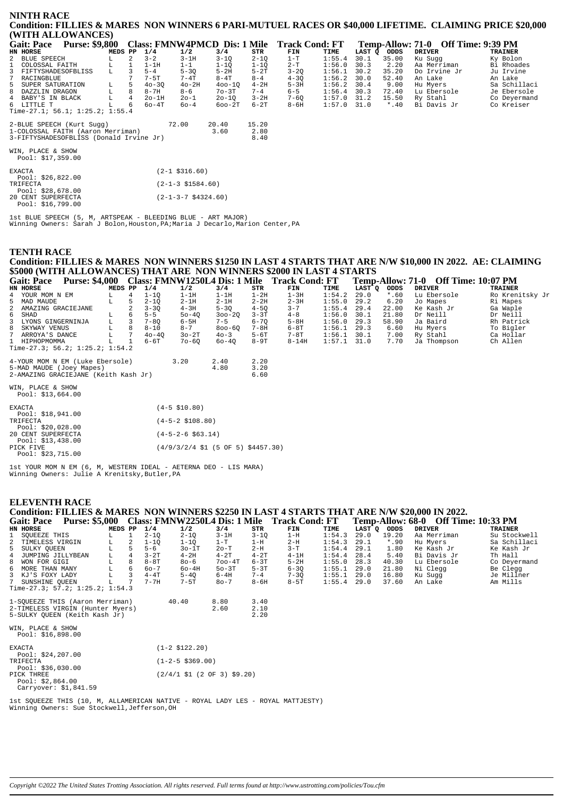| NINTH RACE                                                                                                 |  |
|------------------------------------------------------------------------------------------------------------|--|
| Condition: FILLIES & MARES  NON WINNERS 6 PARI-MUTUEL RACES OR \$40,000 LIFETIME.  CLAIMING PRICE \$20,000 |  |
| <b>(WITH ALLOWANCES)</b>                                                                                   |  |

| <b>Gait: Pace</b>                       | <b>Purse: \$9,800</b> |    |                |           |                |           |          | Class: FMNW4PMCD Dis: 1 Mile Track Cond: FT |        |        |         | Temp-Allow: 71-0 Off Time: 9:39 PM |                |
|-----------------------------------------|-----------------------|----|----------------|-----------|----------------|-----------|----------|---------------------------------------------|--------|--------|---------|------------------------------------|----------------|
| HN HORSE                                |                       |    | MEDS PP        | 1/4       | 1/2            | 3/4       | STR      | FIN                                         | TIME   | LAST O | ODDS    | <b>DRIVER</b>                      | <b>TRAINER</b> |
| 2 BLUE SPEECH                           |                       | L. | $\mathcal{L}$  | $3 - 2$   | $3-1H$         | $3 - 10$  | $2 - 10$ | $1-T$                                       | 1:55.4 | 30.1   | 35.00   | Ku Suqq                            | Ky Bolon       |
| COLOSSAL FAITH                          |                       | L. |                | $1-1H$    | $1 - 1$        | $1 - 1Q$  | $1 - 1Q$ | $2-T$                                       | 1:56.0 | 30.3   | 2.20    | Aa Merriman                        | Bi Rhoades     |
| 3 FIFTYSHADESOFBLISS                    |                       | L  |                | $5 - 4$   | $5 - 30$       | $5-2H$    | $5-2T$   | $3 - 20$                                    | 1:56.1 | 30.2   | 35.20   | Do Irvine Jr                       | Ju Irvine      |
| 7 RACINGBLUE                            |                       |    |                | $7 - 5T$  | $7-4T$         | $8-4T$    | $8 - 4$  | $4 - 30$                                    | 1:56.2 | 30.0   | 52.40   | An Lake                            | An Lake        |
| 5 SUPER SATURATION                      |                       | L. | 5              | $40 - 30$ | $40-2H$        | $400-10$  | $4-2H$   | $5-3H$                                      | 1:56.2 | 30.4   | 9.00    | Hu Myers                           | Sa Schillaci   |
| 8 DAZZLIN DRAGON                        |                       | L  | 8              | $8 - 7H$  | $8 - 6$        | $7o-3T$   | $7 - 4$  | $6 - 5$                                     | 1:56.4 | 30.3   | 72.40   | Lu Ebersole                        | Je Ebersole    |
| 4 BABY'S IN BLACK                       |                       | L  | $\overline{4}$ | $2o-1H$   | $20 - 1$       | $20 - 10$ | $3 - 2H$ | $7 - 60$                                    | 1:57.0 | 31.2   | 15.50   | Ry Stahl                           | Co Deyermand   |
| 6 LITTLE T                              |                       | L  | 6              | $60-4T$   | 60-4           | 600-2T    | 6-2T     | $8 - 6H$                                    | 1:57.0 | 31.0   | $*$ .40 | Bi Davis Jr                        | Co Kreiser     |
| Time-27.1; 56.1; 1:25.2; 1:55.4         |                       |    |                |           |                |           |          |                                             |        |        |         |                                    |                |
| 2-BLUE SPEECH (Kurt Sugg)               |                       |    |                |           | 72.00          | 20.40     | 15.20    |                                             |        |        |         |                                    |                |
| 1-COLOSSAL FAITH (Aaron Merriman)       |                       |    |                |           |                | 3.60      | 2.80     |                                             |        |        |         |                                    |                |
| 3-FIFTYSHADESOFBLISS (Donald Irvine Jr) |                       |    |                |           |                |           | 8.40     |                                             |        |        |         |                                    |                |
| WIN, PLACE & SHOW<br>Pool: \$17,359.00  |                       |    |                |           |                |           |          |                                             |        |        |         |                                    |                |
| <b>EXACTA</b><br>Pool: $$26,822.00$     |                       |    |                |           | (2-1 \$316.60) |           |          |                                             |        |        |         |                                    |                |

lst BLUE SPEECH (5, M, ARTSPEAK - BLEEDING BLUE - ART MAJOR)<br>Winning Owners: Sarah J Bolon,Houston,PA;Maria J Decarlo,Marion Center,PA

 $(2-1-3 \; $1584.60)$  $(2-1-3-7 \text{ } $4324.60)$ 

#### **TENTH RACE**

POOL: 526,822.00<br>TRIFECTA<br>Pool: \$28,678.00<br>20 CENT SUPERFECTA<br>Pool: \$16,799.00

 $\overline{\phantom{a}}$ 

Condition: FILLIES & MARES NON WINNERS \$1250 IN LAST 4 STARTS THAT ARE N/W \$10,000 IN 2022. AE: CLAIMING \$5000 (WITH ALLOWANCES) THAT ARE NON WINNERS \$2000 IN LAST 4 STARTS

| <b>Purse: \$4,000</b><br><b>Gait: Pace</b> |         |    |           |           | Class: FMNW1250L4 Dis: 1 Mile |          | Track Cond: FT |        |        |             | Temp-Allow: 71-0 Off Time: 10:07 PM |                 |
|--------------------------------------------|---------|----|-----------|-----------|-------------------------------|----------|----------------|--------|--------|-------------|-------------------------------------|-----------------|
| HN HORSE                                   | MEDS PP |    | 1/4       | 1/2       | 3/4                           | STR      | FIN            | TIME   | LAST O | <b>ODDS</b> | DRIVER                              | TRAINER         |
| 4 YOUR MOM N EM                            |         | 4  | $1 - 10$  | $1-1H$    | 1-1H                          | 1-2H     | 1-3H           | 1:54.2 | 29.0   | $*$ .60     | Lu Ebersole                         | Ro Krenitsky Jr |
| 5 MAD MAUDE                                |         |    | $2 - 10$  | $2-1H$    | $2-1H$                        | $2 - 2H$ | $2 - 3H$       | 1:55.0 | 29.2   | 6.20        | Jo Mapes                            | Ri Mapes        |
| 2 AMAZING GRACIEJANE                       |         | 2  | $3 - 30$  | $4 - 3H$  | $5 - 30$                      | $4 - 50$ | $3 - 7$        | 1:55.4 | 29.4   | 22.00       | Ke Kash Jr                          | Ga Waple        |
| 6 SHAD                                     |         | 6. | $5 - 5$   | $50 - 40$ | $300 - 20$                    | $3 - 3T$ | $4 - 8$        | 1:56.0 | 30.1   | 21.80       | Dr Neill                            | Dr Neill        |
| 3 LYONS GINGERNINJA                        | T.      |    | $7 - 80$  | $6-5H$    | $7 - 5$                       | $6 - 70$ | $5-8H$         | 1:56.0 | 29.3   | 58.90       | Ja Baird                            | Rh Patrick      |
| 8 SKYWAY VENUS                             |         |    | $8 - 10$  | $8 - 7$   | $800 - 60$                    | $7 - 8H$ | $6-8T$         | 1:56.1 | 29.3   | 6.60        | Hu Mvers                            | To Bigler       |
| 7 ARROYA'S DANCE                           |         |    | $40 - 40$ | $30 - 2T$ | $40 - 3$                      | $5-6T$   | $7-8T$         | 1:56.1 | 30.1   | 7.00        | Ry Stahl                            | Ca Hollar       |
| 1 HIPHOPMOMMA                              |         |    | 6-6T      | $70 - 60$ | $60 - 40$                     | $8-9T$   | $8 - 14H$      | 1:57.1 | 31.0   | 7.70        | Ja Thompson                         | Ch Allen        |
| Time-27.3; 56.2; 1:25.2; 1:54.2            |         |    |           |           |                               |          |                |        |        |             |                                     |                 |

| 4-YOUR MOM N EM (Luke Ebersole)      | 3.20 | 2.40 | 2.20 |
|--------------------------------------|------|------|------|
| 5-MAD MAUDE (Joev Mapes)             |      | 4.80 | 3.20 |
| 2-AMAZING GRACIEJANE (Keith Kash Jr) |      |      | 6.60 |
|                                      |      |      |      |

| WIN, PLACE & SHOW<br>Pool: $$13,664.00$ |                                      |
|-----------------------------------------|--------------------------------------|
| <b>EXACTA</b>                           | $(4-5 \; $10.80)$                    |
| Pool: $$18,941.00$                      |                                      |
| TRIFECTA                                | $(4-5-2 \; \text{S}108.80)$          |
| Pool: \$20.028.00                       |                                      |
| 20 CENT SUPERFECTA                      | $(4-5-2-6 \text{ } $63.14)$          |
| Pool: $$13,438.00$                      |                                      |
| PICK FIVE                               | $(4/9/3/2/4$ \$1 (5 OF 5) \$4457.30) |
| Pool: \$23 715 00                       |                                      |

1st YOUR MOM N EM (6, M, WESTERN IDEAL - AETERNA DEO - LIS MARA)<br>Winning Owners: Julie A Krenitsky, Butler, PA

### **ELEVENTH RACE**

#### Condition: FILLIES & MARES NON WINNERS \$2250 IN LAST 4 STARTS THAT ARE N/W \$20,000 IN 2022.  $10.22 \text{ m}$

| Gait: Pace                                                                      | <b>Purse: \$5,000</b> |         |                |          | Class: FMNW2250L4 Dis: 1 Mile                                            |            |          | Track Cond: FT |        |             |         |               |                |
|---------------------------------------------------------------------------------|-----------------------|---------|----------------|----------|--------------------------------------------------------------------------|------------|----------|----------------|--------|-------------|---------|---------------|----------------|
| HN HORSE                                                                        |                       | MEDS PP |                | 1/4      | 1/2                                                                      | 3/4        | STR      | FIN            | TIME   | LAST Q ODDS |         | <b>DRIVER</b> | <b>TRAINER</b> |
| 1 SOUEEZE THIS                                                                  |                       | L.      |                | $2 - 10$ | $2 - 1Q$                                                                 | $3-1H$     | $3 - 10$ | $1-H$          | 1:54.3 | 29.0        | 19.20   | Aa Merriman   | Su Stockwell   |
| 2 TIMELESS VIRGIN                                                               |                       | L       | 2              | $1 - 1Q$ | $1 - 1Q$                                                                 | $1-T$      | $1-H$    | $2-H$          | 1:54.3 | 29.1        | $*$ .90 | Hu Myers      | Sa Schillaci   |
| 5 SULKY QUEEN                                                                   |                       |         |                | $5 - 6$  | $30-1T$                                                                  | 20-T       | $2-H$    | $3-T$          | 1:54.4 | 29.1        | 1.80    | Ke Kash Jr    | Ke Kash Jr     |
| 4 JUMPING JILLYBEAN                                                             |                       | L       | $\overline{4}$ | $3-2T$   | $4-2H$                                                                   | $4 - 2T$   | $4-2T$   | $4-1H$         | 1:54.4 | 28.4        | 5.40    | Bi Davis Jr   | Th Hall        |
| 8 WON FOR GIGI                                                                  |                       |         | 8              | $8 - 8T$ | $80 - 6$                                                                 | $700 - 4T$ | $6 - 3T$ | $5-2H$         | 1:55.0 | 28.3        | 40.30   | Lu Ebersole   | Co Deyermand   |
| 6 MORE THAN MANY                                                                |                       | г       | 6              | $60 - 7$ | $60-4H$                                                                  | $50-3T$    | $5-3T$   | $6 - 30$       | 1:55.1 | 29.0        | 21.80   | Ni Clegg      | Be Clegg       |
| 3 KJ'S FOXY LADY                                                                |                       |         | 3              | $4 - 4T$ | $5 - 40$                                                                 | $6-4H$     | $7 - 4$  | $7 - 3Q$       | 1:55.1 | 29.0        | 16.80   | Ku Sugg       | Je Millner     |
| 7<br>SUNSHINE OUEEN                                                             |                       |         |                | $7 - 7H$ | 7-5T                                                                     | $80 - 7$   | $8 - 6H$ | $8-5T$         | 1:55.4 | 29.0        | 37.60   | An Lake       | Am Mills       |
| Time-27.3; $57.2; 1:25.2; 1:54.3$                                               |                       |         |                |          |                                                                          |            |          |                |        |             |         |               |                |
| 1-SQUEEZE THIS (Aaron Merriman)                                                 |                       |         |                |          | 40.40                                                                    | 8.80       | 3.40     |                |        |             |         |               |                |
| 2-TIMELESS VIRGIN (Hunter Myers)                                                |                       |         |                |          |                                                                          | 2.60       | 2.10     |                |        |             |         |               |                |
| 5-SULKY OUEEN (Keith Kash Jr)                                                   |                       |         |                |          |                                                                          |            | 2.20     |                |        |             |         |               |                |
| WIN, PLACE & SHOW                                                               |                       |         |                |          |                                                                          |            |          |                |        |             |         |               |                |
| Pool: \$16,898.00                                                               |                       |         |                |          |                                                                          |            |          |                |        |             |         |               |                |
| <b>EXACTA</b>                                                                   |                       |         |                |          | $(1-2 \; $122.20)$                                                       |            |          |                |        |             |         |               |                |
| Pool: $$24, 207.00$                                                             |                       |         |                |          |                                                                          |            |          |                |        |             |         |               |                |
| TRIFECTA                                                                        |                       |         |                |          | $(1 - 2 - 5 \, \text{S}369.00)$                                          |            |          |                |        |             |         |               |                |
| Pool: $$36,030.00$                                                              |                       |         |                |          |                                                                          |            |          |                |        |             |         |               |                |
| PICK THREE                                                                      |                       |         |                |          | $(2/4/1 \text{ } $1 \text{ } (2 \text{ } 0F \text{ } 3) \text{ } $9.20)$ |            |          |                |        |             |         |               |                |
| Pool: $$2,864.00$                                                               |                       |         |                |          |                                                                          |            |          |                |        |             |         |               |                |
| Carryover: \$1,841.59                                                           |                       |         |                |          |                                                                          |            |          |                |        |             |         |               |                |
|                                                                                 |                       |         |                |          |                                                                          |            |          |                |        |             |         |               |                |
| 1st SOUEEZE THIS (10, M, ALLAMERICAN NATIVE - ROYAL LADY LES - ROYAL MATTJESTY) |                       |         |                |          |                                                                          |            |          |                |        |             |         |               |                |
| Winning Owners: Sue Stockwell, Jefferson, OH                                    |                       |         |                |          |                                                                          |            |          |                |        |             |         |               |                |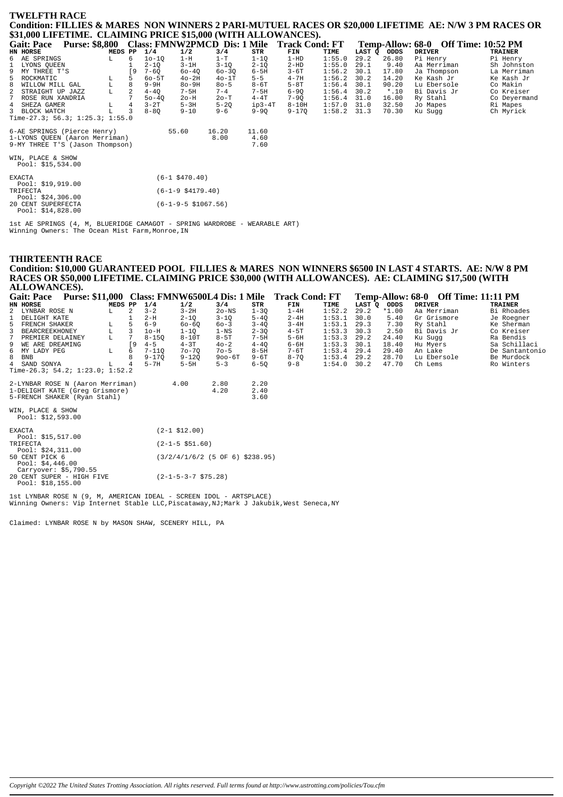### **TWELFTH RACE** Condition: FILLIES & MARES NON WINNERS 2 PARI-MUTUEL RACES OR \$20,000 LIFETIME AE: N/W 3 PM RACES OR \$31,000 LIFETIME. CLAIMING PRICE \$15,000 (WITH ALLOWANCES).

| <b>Gait: Pace</b>                       | <b>Purse: \$8,800</b> |         |     |           |                        |           |          | Class: FMNW2PMCD Dis: 1 Mile Track Cond: FT |        |        |         | Temp-Allow: 68-0 Off Time: 10:52 PM |                |
|-----------------------------------------|-----------------------|---------|-----|-----------|------------------------|-----------|----------|---------------------------------------------|--------|--------|---------|-------------------------------------|----------------|
| HN HORSE                                |                       | MEDS PP |     | 1/4       | 1/2                    | 3/4       | STR      | FIN                                         | TIME   | LAST Q | ODDS    | <b>DRIVER</b>                       | <b>TRAINER</b> |
| 6 AE SPRINGS                            |                       | L.      | 6   | $10 - 10$ | $1-H$                  | $1-T$     | $1 - 10$ | $1-HD$                                      | 1:55.0 | 29.2   | 26.80   | Pi Henry                            | Pi Henry       |
| $\mathbf{1}$<br>LYONS OUEEN             |                       |         |     | $2 - 1Q$  | $3-1H$                 | $3-1Q$    | $2 - 1Q$ | $2-HD$                                      | 1:55.0 | 29.1   | 9.40    | Aa Merriman                         | Sh Johnston    |
| 9<br>MY THREE T'S                       |                       |         | ſ9. | 7-60      | $60 - 40$              | $60 - 30$ | $6-5H$   | $3-6T$                                      | 1:56.2 | 30.1   | 17.80   | Ja Thompson                         | La Merriman    |
| 5 ROCKMATIC                             |                       |         | 5   | $60 - 5T$ | $40-2H$                | $40-1T$   | $5 - 5$  | $4 - 7H$                                    | 1:56.2 | 30.2   | 14.20   | Ke Kash Jr                          | Ke Kash Jr     |
| 8 WILLOW MILL GAL                       |                       | г       | 8   | $9-9H$    | $8o-9H$                | $80 - 5$  | $8-6T$   | $5-8T$                                      | 1:56.4 | 30.1   | 90.20   | Lu Ebersole                         | Co Makin       |
| 2 STRAIGHT UP JAZZ                      |                       | T.      |     | $4 - 40$  | $7-5H$                 | $7 - 4$   | $7-5H$   | $6 - 90$                                    | 1:56.4 | 30.2   | $*$ .10 | Bi Davis Jr                         | Co Kreiser     |
| 7 ROSE RUN XANDRIA                      |                       |         |     | $50 - 40$ | 20-H                   | $2o-T$    | $4-4T$   | $7 - 90$                                    | 1:56.4 | 31.0   | 16.00   | Ry Stahl                            | Co Deyermand   |
| 4 SHEZA GAMER                           |                       | L       |     | $3-2T$    | $5-3H$                 | $5 - 2Q$  | $ip3-4T$ | $8-10H$                                     | 1:57.0 | 31.0   | 32.50   | Jo Mapes                            | Ri Mapes       |
| 3 BLOCK WATCH                           |                       | L       |     | $8 - 80$  | $9 - 10$               | $9 - 6$   | $9 - 90$ | $9 - 170$                                   | 1:58.2 | 31.3   | 70.30   | Ku Sugg                             | Ch Myrick      |
| Time-27.3; 56.3; 1:25.3; 1:55.0         |                       |         |     |           |                        |           |          |                                             |        |        |         |                                     |                |
| 6-AE SPRINGS (Pierce Henry)             |                       |         |     |           | 55.60                  | 16.20     | 11.60    |                                             |        |        |         |                                     |                |
| 1-LYONS OUEEN (Aaron Merriman)          |                       |         |     |           |                        | 8.00      | 4.60     |                                             |        |        |         |                                     |                |
| 9-MY THREE T'S (Jason Thompson)         |                       |         |     |           |                        |           | 7.60     |                                             |        |        |         |                                     |                |
| WIN, PLACE & SHOW<br>Pool: $$15,534.00$ |                       |         |     |           |                        |           |          |                                             |        |        |         |                                     |                |
| <b>EXACTA</b><br>Pool: \$19,919.00      |                       |         |     |           | $(6-1$ \$470.40)       |           |          |                                             |        |        |         |                                     |                |
| TRIFECTA<br>Pool: $$24,306.00$          |                       |         |     |           | $(6-1-9 \ $4179.40)$   |           |          |                                             |        |        |         |                                     |                |
| 20 CENT SUPERFECTA<br>Pool: \$14.828.00 |                       |         |     |           | $(6-1-9-5 \ $1067.56)$ |           |          |                                             |        |        |         |                                     |                |

1st AE SPRINGS (4, M, BLUERIDGE CAMAGOT - SPRING WARDROBE - WEARABLE ART)<br>Winning Owners: The Ocean Mist Farm,Monroe,IN

### **THIRTEENTH RACE**

#### Condition: \$10,000 GUARANTEED POOL FILLIES & MARES NON WINNERS \$6500 IN LAST 4 STARTS. AE: N/W 8 PM RACES OR \$50,000 LIFETIME. CLAIMING PRICE \$30,000 (WITH ALLOWANCES). AE: CLAIMING \$17,500 (WITH ALLOWANCES).

| <b>Gait: Pace</b>                 |         |     |           |                                   |            |          | Purse: \$11,000 Class: FMNW6500L4 Dis: 1 Mile Track Cond: FT |        |             |         | Temp-Allow: 68-0 Off Time: 11:11 PM |                |
|-----------------------------------|---------|-----|-----------|-----------------------------------|------------|----------|--------------------------------------------------------------|--------|-------------|---------|-------------------------------------|----------------|
| HN HORSE                          | MEDS PP |     | 1/4       | 1/2                               | 3/4        | STR      | FIN                                                          | TIME   | LAST Q ODDS |         | <b>DRIVER</b>                       | <b>TRAINER</b> |
| 2 LYNBAR ROSE N                   | T.      |     | $3 - 2$   | $3-2H$                            | $2o$ -NS   | $1 - 3Q$ | $1-4H$                                                       | 1:52.2 | 29.2        | $*1.00$ | Aa Merriman                         | Bi Rhoades     |
| $\mathbf{1}$<br>DELIGHT KATE      |         |     | $2-H$     | $2 - 10$                          | $3 - 10$   | $5 - 40$ | $2 - 4H$                                                     | 1:53.1 | 30.0        | 5.40    | Gr Grismore                         | Je Roegner     |
| $5 -$<br>FRENCH SHAKER            | L       |     | $6 - 9$   | $60 - 6Q$                         | $60 - 3$   | $3 - 4Q$ | $3 - 4H$                                                     | 1:53.1 | 29.3        | 7.30    | Ry Stahl                            | Ke Sherman     |
| $\mathbf{3}$<br>BEARCREEKHONEY    | L       |     | $1o-H$    | $1 - 1Q$                          | $1 - NS$   | $2 - 3Q$ | $4-5T$                                                       | 1:53.3 | 30.3        | 2.50    | Bi Davis Jr                         | Co Kreiser     |
| $7^{\circ}$<br>PREMIER DELAINEY   | L       |     | $8 - 150$ | $8-10T$                           | $8-5T$     | 7-5H     | $5 - 6H$                                                     | 1:53.3 | 29.2        | 24.40   | Ku Suqq                             | Ra Bendis      |
| 9 WE ARE DREAMING                 |         | [ 9 | $4 - 5$   | $4-3T$                            | $40 - 2$   | $4 - 4Q$ | $6 - 6H$                                                     | 1:53.3 | 30.1        | 18.40   | Hu Myers                            | Sa Schillaci   |
| 6 MY LADY PEG                     | L.      | 6   | 7-110     | 70-70                             | $70 - 5$   | $8-5H$   | 7-6T                                                         | 1:53.4 | 29.4        | 29.40   | An Lake                             | De Santantonio |
| 8 BNB                             |         | 8   | $9 - 170$ | $9 - 120$                         | $900 - 6T$ | $9 - 6T$ | $8 - 70$                                                     | 1:53.4 | 29.2        | 28.70   | Lu Ebersole                         | Be Murdock     |
| 4 SAND SONYA                      | L       |     | $5-7H$    | $5-5H$                            | $5 - 3$    | $6 - 50$ | $9 - 8$                                                      | 1:54.0 | 30.2        | 47.70   | Ch Lems                             | Ro Winters     |
| Time-26.3; 54.2; $1:23.0; 1:52.2$ |         |     |           |                                   |            |          |                                                              |        |             |         |                                     |                |
| 2-LYNBAR ROSE N (Aaron Merriman)  |         |     |           | 4.00                              | 2.80       | 2.20     |                                                              |        |             |         |                                     |                |
| 1-DELIGHT KATE (Greg Grismore)    |         |     |           |                                   | 4.20       | 2.40     |                                                              |        |             |         |                                     |                |
| 5-FRENCH SHAKER (Ryan Stahl)      |         |     |           |                                   |            | 3.60     |                                                              |        |             |         |                                     |                |
| WIN, PLACE & SHOW                 |         |     |           |                                   |            |          |                                                              |        |             |         |                                     |                |
| Pool: \$12,593.00                 |         |     |           |                                   |            |          |                                                              |        |             |         |                                     |                |
| <b>EXACTA</b>                     |         |     |           | $(2-1$ \$12.00)                   |            |          |                                                              |        |             |         |                                     |                |
| Pool: $$15,517.00$                |         |     |           |                                   |            |          |                                                              |        |             |         |                                     |                |
| TRIFECTA                          |         |     |           | $(2-1-5 \; $51.60)$               |            |          |                                                              |        |             |         |                                     |                |
| Pool: $$24,311.00$                |         |     |           |                                   |            |          |                                                              |        |             |         |                                     |                |
| 50 CENT PICK 6                    |         |     |           | $(3/2/4/1/6/2$ (5 OF 6) \$238.95) |            |          |                                                              |        |             |         |                                     |                |
| Pool: $$4,446.00$                 |         |     |           |                                   |            |          |                                                              |        |             |         |                                     |                |

Carryover: \$5,790.55<br>20 CENT SUPER - HIGH FIVE<br>Pool: \$18,155.00  $(2-1-5-3-7$ \$75.28)

lst LYNBAR ROSE N (9, M, AMERICAN IDEAL - SCREEN IDOL - ARTSPLACE)<br>Winning Owners: Vip Internet Stable LLC,Piscataway,NJ;Mark J Jakubik,West Seneca,NY

Claimed: LYNBAR ROSE N by MASON SHAW, SCENERY HILL, PA